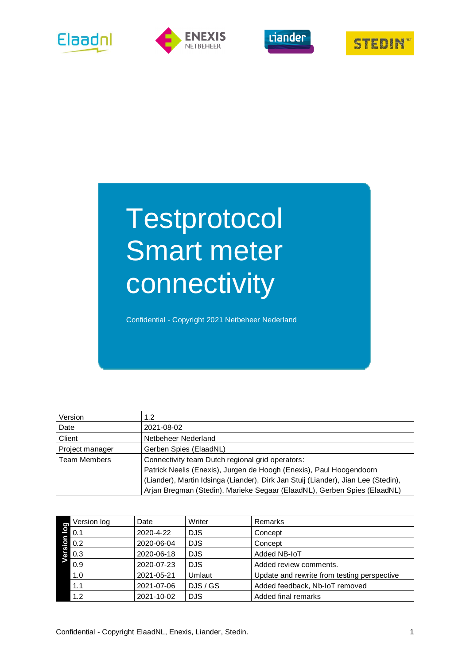







# **Testprotocol** Smart meter connectivity

Confidential - Copyright 2021 Netbeheer Nederland

| Version             | 1.2                                                                               |
|---------------------|-----------------------------------------------------------------------------------|
| Date                | 2021-08-02                                                                        |
| Client              | Netbeheer Nederland                                                               |
| Project manager     | Gerben Spies (ElaadNL)                                                            |
| <b>Team Members</b> | Connectivity team Dutch regional grid operators:                                  |
|                     | Patrick Neelis (Enexis), Jurgen de Hoogh (Enexis), Paul Hoogendoorn               |
|                     | (Liander), Martin Idsinga (Liander), Dirk Jan Stuij (Liander), Jian Lee (Stedin), |
|                     | Arjan Bregman (Stedin), Marieke Segaar (ElaadNL), Gerben Spies (ElaadNL)          |

| g                       | Version log | Date       | Writer     | Remarks                                     |
|-------------------------|-------------|------------|------------|---------------------------------------------|
| $\overline{\mathsf{d}}$ | 0.1         | 2020-4-22  | <b>DJS</b> | Concept                                     |
| noi                     | 0.2         | 2020-06-04 | <b>DJS</b> | Concept                                     |
| ers                     | 0.3         | 2020-06-18 | <b>DJS</b> | Added NB-IoT                                |
|                         | 0.9         | 2020-07-23 | <b>DJS</b> | Added review comments.                      |
|                         | 1.0         | 2021-05-21 | Umlaut     | Update and rewrite from testing perspective |
|                         | 1.1         | 2021-07-06 | DJS / GS   | Added feedback, Nb-IoT removed              |
|                         | 1.2         | 2021-10-02 | <b>DJS</b> | Added final remarks                         |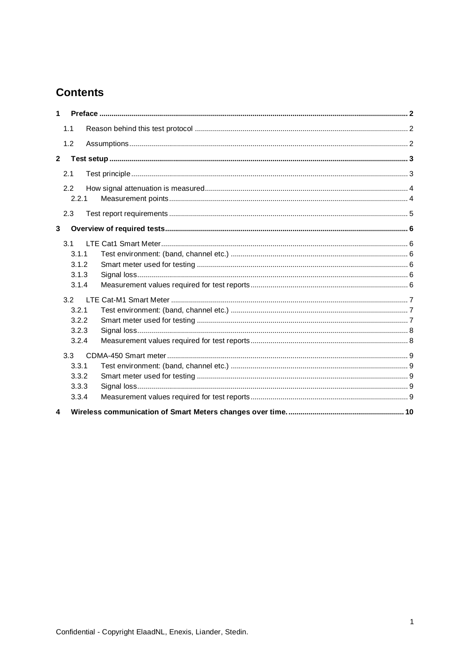## **Contents**

| $\mathbf{1}$   |       |  |  |  |  |  |  |  |  |
|----------------|-------|--|--|--|--|--|--|--|--|
|                | 1.1   |  |  |  |  |  |  |  |  |
|                | 1.2   |  |  |  |  |  |  |  |  |
| $\overline{2}$ |       |  |  |  |  |  |  |  |  |
|                | 2.1   |  |  |  |  |  |  |  |  |
|                | 2.2   |  |  |  |  |  |  |  |  |
|                | 2.2.1 |  |  |  |  |  |  |  |  |
|                | 2.3   |  |  |  |  |  |  |  |  |
| 3              |       |  |  |  |  |  |  |  |  |
|                | 3.1   |  |  |  |  |  |  |  |  |
|                | 3.1.1 |  |  |  |  |  |  |  |  |
|                | 3.1.2 |  |  |  |  |  |  |  |  |
|                | 3.1.3 |  |  |  |  |  |  |  |  |
|                | 3.1.4 |  |  |  |  |  |  |  |  |
|                | 3.2   |  |  |  |  |  |  |  |  |
|                | 3.2.1 |  |  |  |  |  |  |  |  |
|                | 3.2.2 |  |  |  |  |  |  |  |  |
|                | 3.2.3 |  |  |  |  |  |  |  |  |
|                | 3.2.4 |  |  |  |  |  |  |  |  |
|                | 3.3   |  |  |  |  |  |  |  |  |
|                | 3.3.1 |  |  |  |  |  |  |  |  |
|                | 3.3.2 |  |  |  |  |  |  |  |  |
|                | 3.3.3 |  |  |  |  |  |  |  |  |
|                | 3.3.4 |  |  |  |  |  |  |  |  |
| 4              |       |  |  |  |  |  |  |  |  |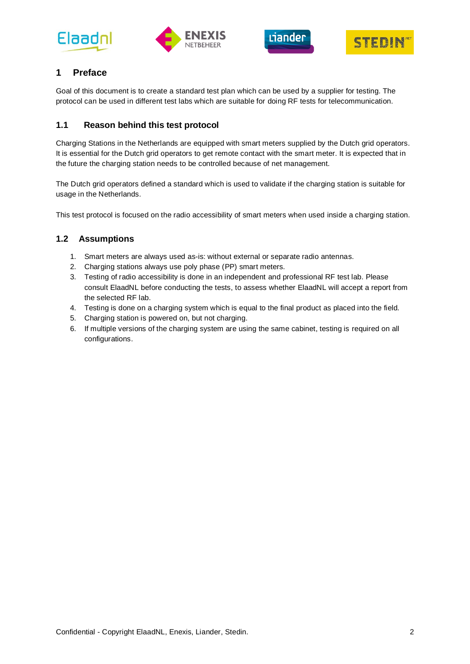







## <span id="page-2-0"></span>**1 Preface**

Goal of this document is to create a standard test plan which can be used by a supplier for testing. The protocol can be used in different test labs which are suitable for doing RF tests for telecommunication.

## <span id="page-2-1"></span>**1.1 Reason behind this test protocol**

Charging Stations in the Netherlands are equipped with smart meters supplied by the Dutch grid operators. It is essential for the Dutch grid operators to get remote contact with the smart meter. It is expected that in the future the charging station needs to be controlled because of net management.

The Dutch grid operators defined a standard which is used to validate if the charging station is suitable for usage in the Netherlands.

<span id="page-2-2"></span>This test protocol is focused on the radio accessibility of smart meters when used inside a charging station.

## **1.2 Assumptions**

- 1. Smart meters are always used as-is: without external or separate radio antennas.
- 2. Charging stations always use poly phase (PP) smart meters.
- 3. Testing of radio accessibility is done in an independent and professional RF test lab. Please consult ElaadNL before conducting the tests, to assess whether ElaadNL will accept a report from the selected RF lab.
- 4. Testing is done on a charging system which is equal to the final product as placed into the field.
- 5. Charging station is powered on, but not charging.
- 6. If multiple versions of the charging system are using the same cabinet, testing is required on all configurations.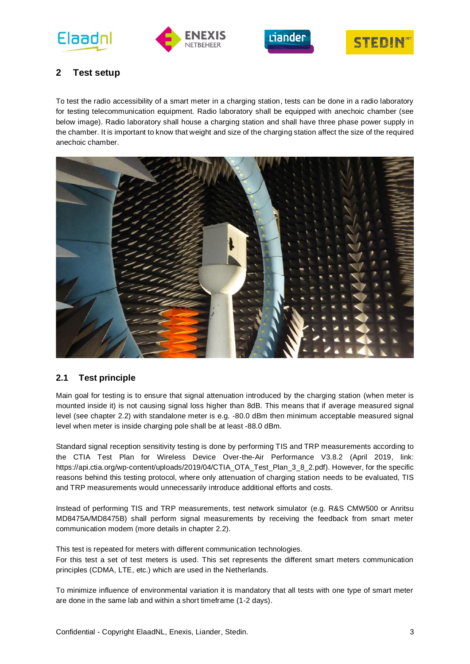







## <span id="page-3-0"></span>**2 Test setup**

To test the radio accessibility of a smart meter in a charging station, tests can be done in a radio laboratory for testing telecommunication equipment. Radio laboratory shall be equipped with anechoic chamber (see below image). Radio laboratory shall house a charging station and shall have three phase power supply in the chamber. It is important to know that weight and size of the charging station affect the size of the required anechoic chamber.



## <span id="page-3-1"></span>**2.1 Test principle**

Main goal for testing is to ensure that signal attenuation introduced by the charging station (when meter is mounted inside it) is not causing signal loss higher than 8dB. This means that if average measured signal level (see chapter 2.2) with standalone meter is e.g. -80.0 dBm then minimum acceptable measured signal level when meter is inside charging pole shall be at least -88.0 dBm.

Standard signal reception sensitivity testing is done by performing TIS and TRP measurements according to the CTIA Test Plan for Wireless Device Over-the-Air Performance V3.8.2 (April 2019, link: https://api.ctia.org/wp-content/uploads/2019/04/CTIA\_OTA\_Test\_Plan\_3\_8\_2.pdf). However, for the specific reasons behind this testing protocol, where only attenuation of charging station needs to be evaluated, TIS and TRP measurements would unnecessarily introduce additional efforts and costs.

Instead of performing TIS and TRP measurements, test network simulator (e.g. R&S CMW500 or Anritsu MD8475A/MD8475B) shall perform signal measurements by receiving the feedback from smart meter communication modem (more details in chapter 2.2).

This test is repeated for meters with different communication technologies.

For this test a set of test meters is used. This set represents the different smart meters communication principles (CDMA, LTE, etc.) which are used in the Netherlands.

To minimize influence of environmental variation it is mandatory that all tests with one type of smart meter are done in the same lab and within a short timeframe (1-2 days).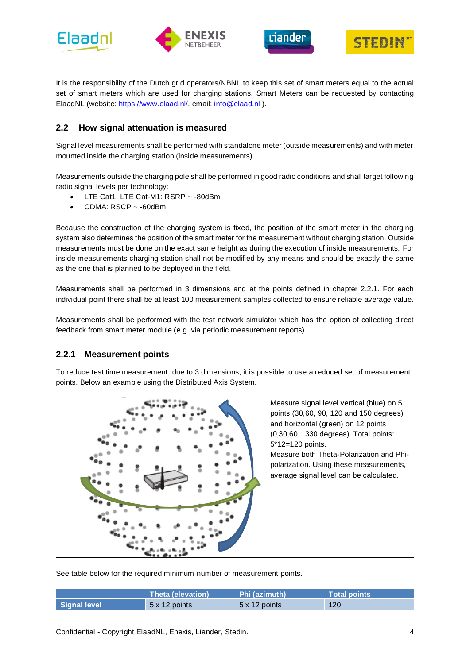





It is the responsibility of the Dutch grid operators/NBNL to keep this set of smart meters equal to the actual set of smart meters which are used for charging stations. Smart Meters can be requested by contacting ElaadNL (website: [https://www.elaad.nl/,](https://www.elaad.nl/) email: [info@elaad.nl](mailto:info@elaad.nl) ).

## <span id="page-4-0"></span>**2.2 How signal attenuation is measured**

Signal level measurements shall be performed with standalone meter (outside measurements) and with meter mounted inside the charging station (inside measurements).

Measurements outside the charging pole shall be performed in good radio conditions and shall target following radio signal levels per technology:

- LTE Cat1, LTE Cat-M1: RSRP ~ 80dBm
- CDMA:  $RSCP \sim -60$ dBm

Because the construction of the charging system is fixed, the position of the smart meter in the charging system also determines the position of the smart meter for the measurement without charging station. Outside measurements must be done on the exact same height as during the execution of inside measurements. For inside measurements charging station shall not be modified by any means and should be exactly the same as the one that is planned to be deployed in the field.

Measurements shall be performed in 3 dimensions and at the points defined in chapter 2.2.1. For each individual point there shall be at least 100 measurement samples collected to ensure reliable average value.

Measurements shall be performed with the test network simulator which has the option of collecting direct feedback from smart meter module (e.g. via periodic measurement reports).

#### <span id="page-4-1"></span>**2.2.1 Measurement points**

To reduce test time measurement, due to 3 dimensions, it is possible to use a reduced set of measurement points. Below an example using the Distributed Axis System.



Measure signal level vertical (blue) on 5 points (30,60, 90, 120 and 150 degrees) and horizontal (green) on 12 points (0,30,60…330 degrees). Total points: 5\*12=120 points. Measure both Theta-Polarization and Phipolarization. Using these measurements, average signal level can be calculated.

See table below for the required minimum number of measurement points.

|              | Theta (elevation) | Phi (azimuth) \ | Total points \ |
|--------------|-------------------|-----------------|----------------|
| Signal level | 5 x 12 points     | 5 x 12 points   | 120            |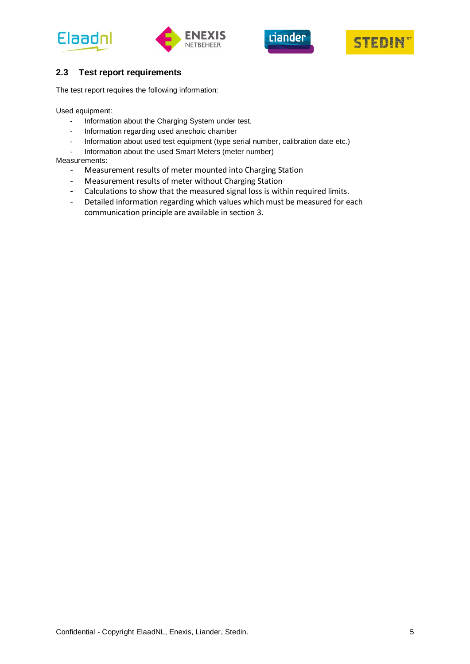







## <span id="page-5-0"></span>**2.3 Test report requirements**

The test report requires the following information:

Used equipment:

- Information about the Charging System under test.
- Information regarding used anechoic chamber
- Information about used test equipment (type serial number, calibration date etc.)
- Information about the used Smart Meters (meter number)

#### Measurements:

- Measurement results of meter mounted into Charging Station
- Measurement results of meter without Charging Station
- Calculations to show that the measured signal loss is within required limits.
- Detailed information regarding which values which must be measured for each communication principle are available in section 3.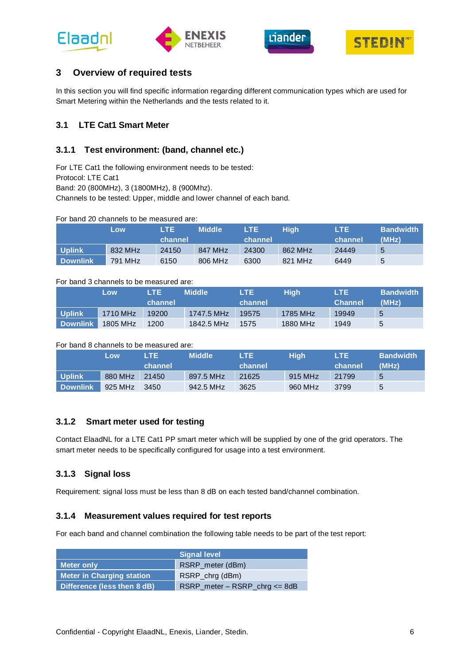





## <span id="page-6-0"></span>**3 Overview of required tests**

In this section you will find specific information regarding different communication types which are used for Smart Metering within the Netherlands and the tests related to it.

## <span id="page-6-1"></span>**3.1 LTE Cat1 Smart Meter**

### <span id="page-6-2"></span>**3.1.1 Test environment: (band, channel etc.)**

For LTE Cat1 the following environment needs to be tested: Protocol: LTE Cat1 Band: 20 (800MHz), 3 (1800MHz), 8 (900Mhz). Channels to be tested: Upper, middle and lower channel of each band.

For band 20 channels to be measured are:

|                 | Low     | LTE.    | <b>Middle</b> | LTE     | Hiah    | LTE     | <b>Bandwidth</b> |
|-----------------|---------|---------|---------------|---------|---------|---------|------------------|
|                 |         | channel |               | channel |         | channel | (MHz)            |
| <b>Uplink</b>   | 832 MHz | 24150   | 847 MHz       | 24300   | 862 MHz | 24449   | 5                |
| <b>Downlink</b> | 791 MHz | 6150    | 806 MHz       | 6300    | 821 MHz | 6449    | 5                |

#### For band 3 channels to be measured are:

|                 | Low                   | LTE.    | <b>Middle</b> | LTE.    | Hiah     | LTE.           | <b>Bandwidth</b> |
|-----------------|-----------------------|---------|---------------|---------|----------|----------------|------------------|
|                 |                       | channel |               | channel |          | <b>Channel</b> | (MHz)            |
| <b>Uplink</b>   | 1710 MHz              | 19200   | 1747.5 MHz    | 19575   | 1785 MHz | 19949          | 5                |
| <b>Downlink</b> | $1805 \,\mathrm{MHz}$ | 1200    | 1842.5 MHz    | 1575    | 1880 MHz | 1949           | 5                |

#### For band 8 channels to be measured are:

|                 | Low     | LTE.    | <b>Middle</b> | LTE.    | <b>High</b> | LTE.    | <b>Bandwidth</b> |
|-----------------|---------|---------|---------------|---------|-------------|---------|------------------|
|                 |         | channel |               | channel |             | channel | (MHz)            |
| <b>Uplink</b>   | 880 MHz | 21450   | 897.5 MHz     | 21625   | 915 MHz     | 21799   | 5                |
| <b>Downlink</b> | 925 MHz | 3450    | 942.5 MHz     | 3625    | 960 MHz     | 3799    | 5                |

#### <span id="page-6-3"></span>**3.1.2 Smart meter used for testing**

Contact ElaadNL for a LTE Cat1 PP smart meter which will be supplied by one of the grid operators. The smart meter needs to be specifically configured for usage into a test environment.

#### <span id="page-6-4"></span>**3.1.3 Signal loss**

<span id="page-6-5"></span>Requirement: signal loss must be less than 8 dB on each tested band/channel combination.

#### **3.1.4 Measurement values required for test reports**

For each band and channel combination the following table needs to be part of the test report:

|                                  | <b>Signal level</b>                 |
|----------------------------------|-------------------------------------|
| <b>Meter only</b>                | RSRP_meter (dBm)                    |
| <b>Meter in Charging station</b> | RSRP_chrg (dBm)                     |
| Difference (less then 8 dB)      | $RSRP$ _meter – $RSRP$ _chrg <= 8dB |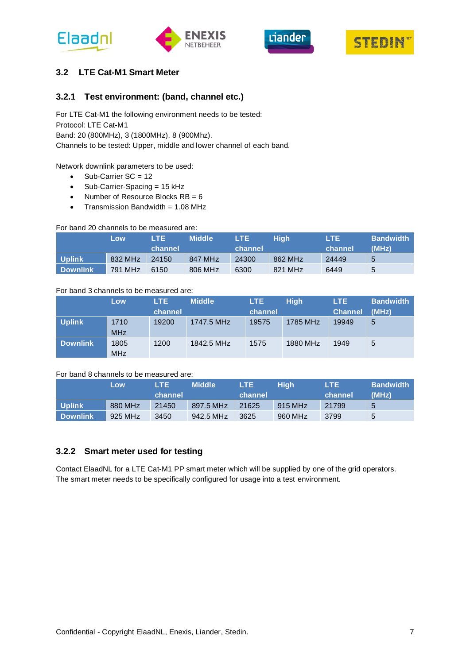





## <span id="page-7-0"></span>**3.2 LTE Cat-M1 Smart Meter**

### <span id="page-7-1"></span>**3.2.1 Test environment: (band, channel etc.)**

For LTE Cat-M1 the following environment needs to be tested: Protocol: LTE Cat-M1 Band: 20 (800MHz), 3 (1800MHz), 8 (900Mhz). Channels to be tested: Upper, middle and lower channel of each band.

#### Network downlink parameters to be used:

- Sub-Carrier SC = 12
- Sub-Carrier-Spacing = 15 kHz
- Number of Resource Blocks  $RB = 6$
- Transmission Bandwidth =  $1.08$  MHz

#### For band 20 channels to be measured are:

|                 | Low     | LTE.    | <b>Middle</b> | LTE.    | Hiah    | LTE.    | <b>Bandwidth</b> |
|-----------------|---------|---------|---------------|---------|---------|---------|------------------|
|                 |         | channel |               | channel |         | channel | (MHz)            |
| Uplink          | 832 MHz | 24150   | 847 MHz       | 24300   | 862 MHz | 24449   | 5                |
| <b>Downlink</b> | 791 MHz | 6150    | 806 MHz       | 6300    | 821 MHz | 6449    | 5                |

#### For band 3 channels to be measured are:

|                 | Low                | LTE.    | <b>Middle</b> | LTE.    | <b>High</b> | LTE.           | <b>Bandwidth</b> |
|-----------------|--------------------|---------|---------------|---------|-------------|----------------|------------------|
|                 |                    | channel |               | channel |             | <b>Channel</b> | (MHz)            |
| <b>Uplink</b>   | 1710<br><b>MHz</b> | 19200   | 1747.5 MHz    | 19575   | 1785 MHz    | 19949          | 5                |
| <b>Downlink</b> | 1805<br><b>MHz</b> | 1200    | 1842.5 MHz    | 1575    | 1880 MHz    | 1949           | 5                |

#### For band 8 channels to be measured are:

|                 | Low     | LTE.    | <b>Middle</b> | LTE.    | Hiah    | LTE.    | <b>Bandwidth</b> |
|-----------------|---------|---------|---------------|---------|---------|---------|------------------|
|                 |         | channel |               | channel |         | channel | (MHz)            |
| <b>Uplink</b>   | 880 MHz | 21450   | 897.5 MHz     | 21625   | 915 MHz | 21799   | 5                |
| <b>Downlink</b> | 925 MHz | 3450    | 942.5 MHz     | 3625    | 960 MHz | 3799    | 5                |

#### <span id="page-7-2"></span>**3.2.2 Smart meter used for testing**

Contact ElaadNL for a LTE Cat-M1 PP smart meter which will be supplied by one of the grid operators. The smart meter needs to be specifically configured for usage into a test environment.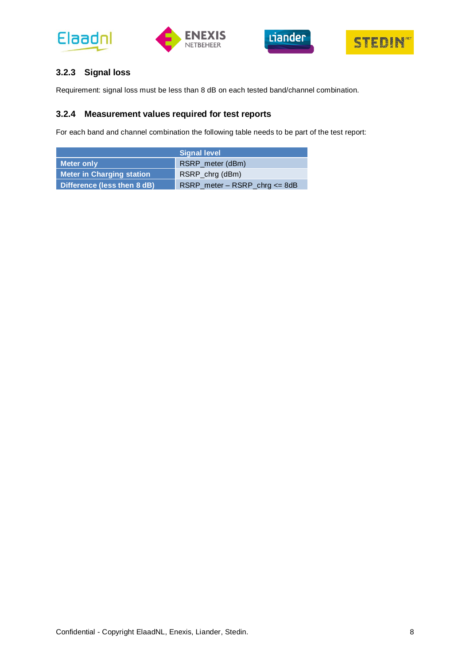







## <span id="page-8-0"></span>**3.2.3 Signal loss**

<span id="page-8-1"></span>Requirement: signal loss must be less than 8 dB on each tested band/channel combination.

## **3.2.4 Measurement values required for test reports**

For each band and channel combination the following table needs to be part of the test report:

|                                  | <b>Signal level</b>                 |
|----------------------------------|-------------------------------------|
| <b>Meter only</b>                | RSRP_meter (dBm)                    |
| <b>Meter in Charging station</b> | RSRP_chrg (dBm)                     |
| Difference (less then 8 dB)      | $RSRP$ _meter – $RSRP$ _chrg <= 8dB |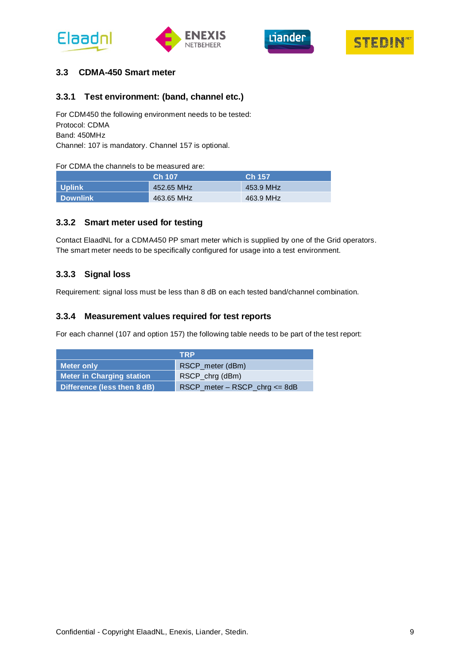





#### <span id="page-9-0"></span>**3.3 CDMA-450 Smart meter**

#### <span id="page-9-1"></span>**3.3.1 Test environment: (band, channel etc.)**

For CDM450 the following environment needs to be tested: Protocol: CDMA Band: 450MHz Channel: 107 is mandatory. Channel 157 is optional.

#### For CDMA the channels to be measured are:

|                 | <b>Ch 107</b> | Ch 157    |
|-----------------|---------------|-----------|
| <b>N</b> Uplink | 452.65 MHz    | 453.9 MHz |
| Downlink        | 463.65 MHz    | 463.9 MHz |

#### <span id="page-9-2"></span>**3.3.2 Smart meter used for testing**

Contact ElaadNL for a CDMA450 PP smart meter which is supplied by one of the Grid operators. The smart meter needs to be specifically configured for usage into a test environment.

## <span id="page-9-3"></span>**3.3.3 Signal loss**

<span id="page-9-4"></span>Requirement: signal loss must be less than 8 dB on each tested band/channel combination.

#### **3.3.4 Measurement values required for test reports**

For each channel (107 and option 157) the following table needs to be part of the test report:

|                                  | <b>TRP</b>                                                  |
|----------------------------------|-------------------------------------------------------------|
| <b>Meter only</b>                | RSCP_meter (dBm)                                            |
| <b>Meter in Charging station</b> | RSCP_chrg (dBm)                                             |
| Difference (less then 8 dB)      | $RSCP$ <sub>meter</sub> – $RSCP$ <sub>chrg</sub> $\leq$ 8dB |